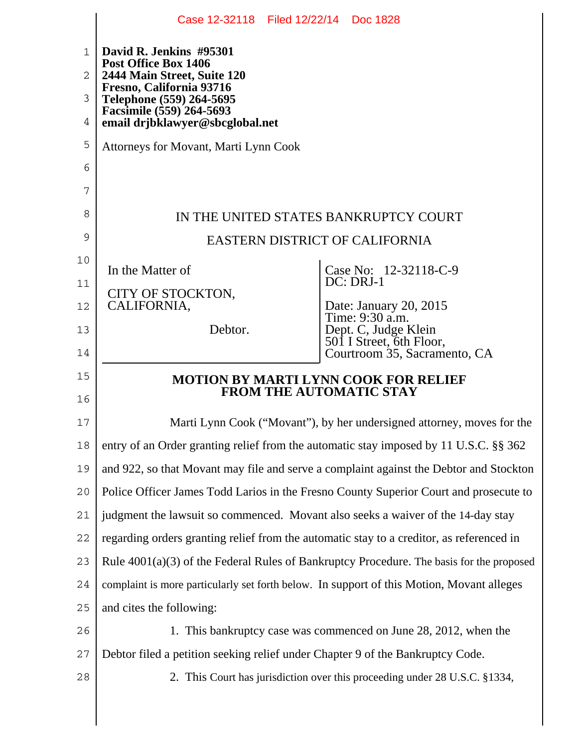|             | Case 12-32118 Filed 12/22/14 Doc 1828                                                     |                                                                  |  |  |  |  |  |  |  |  |
|-------------|-------------------------------------------------------------------------------------------|------------------------------------------------------------------|--|--|--|--|--|--|--|--|
| $\mathbf 1$ | David R. Jenkins #95301<br>Post Office Box 1406                                           |                                                                  |  |  |  |  |  |  |  |  |
| 2           | 2444 Main Street, Suite 120<br>Fresno, California 93716                                   |                                                                  |  |  |  |  |  |  |  |  |
| 3           | Telephone (559) 264-5695                                                                  |                                                                  |  |  |  |  |  |  |  |  |
| 4           | Facsimile (559) 264-5693<br>email drjbklawyer@sbcglobal.net                               |                                                                  |  |  |  |  |  |  |  |  |
| 5           | Attorneys for Movant, Marti Lynn Cook                                                     |                                                                  |  |  |  |  |  |  |  |  |
| 6           |                                                                                           |                                                                  |  |  |  |  |  |  |  |  |
| 7           |                                                                                           |                                                                  |  |  |  |  |  |  |  |  |
| 8           | IN THE UNITED STATES BANKRUPTCY COURT                                                     |                                                                  |  |  |  |  |  |  |  |  |
| 9           | <b>EASTERN DISTRICT OF CALIFORNIA</b>                                                     |                                                                  |  |  |  |  |  |  |  |  |
| 10          | In the Matter of                                                                          | Case No: 12-32118-C-9                                            |  |  |  |  |  |  |  |  |
| 11          | CITY OF STOCKTON,                                                                         | DC: DRJ-1                                                        |  |  |  |  |  |  |  |  |
| 12          | CALIFORNIA,                                                                               | Date: January 20, 2015<br>Time: 9:30 a.m.                        |  |  |  |  |  |  |  |  |
| 13          | Debtor.                                                                                   | Dept. C, Judge Klein<br>501 I Street, 6th Floor,                 |  |  |  |  |  |  |  |  |
| 14          |                                                                                           | Courtroom 35, Sacramento, CA                                     |  |  |  |  |  |  |  |  |
| 15          | <b>MOTION BY MARTI LYNN COOK FOR RELIEF</b><br><b>FROM THE AUTOMATIC STAY</b>             |                                                                  |  |  |  |  |  |  |  |  |
| 16          |                                                                                           |                                                                  |  |  |  |  |  |  |  |  |
| 17          | Marti Lynn Cook ("Movant"), by her undersigned attorney, moves for the                    |                                                                  |  |  |  |  |  |  |  |  |
| 18          | entry of an Order granting relief from the automatic stay imposed by 11 U.S.C. §§ 362     |                                                                  |  |  |  |  |  |  |  |  |
| 19          | and 922, so that Movant may file and serve a complaint against the Debtor and Stockton    |                                                                  |  |  |  |  |  |  |  |  |
| 20          | Police Officer James Todd Larios in the Fresno County Superior Court and prosecute to     |                                                                  |  |  |  |  |  |  |  |  |
| 21          | judgment the lawsuit so commenced. Movant also seeks a waiver of the 14-day stay          |                                                                  |  |  |  |  |  |  |  |  |
| 22          | regarding orders granting relief from the automatic stay to a creditor, as referenced in  |                                                                  |  |  |  |  |  |  |  |  |
| 23          | Rule 4001(a)(3) of the Federal Rules of Bankruptcy Procedure. The basis for the proposed  |                                                                  |  |  |  |  |  |  |  |  |
| 24          | complaint is more particularly set forth below. In support of this Motion, Movant alleges |                                                                  |  |  |  |  |  |  |  |  |
| 25          | and cites the following:                                                                  |                                                                  |  |  |  |  |  |  |  |  |
| 26          |                                                                                           | 1. This bankruptcy case was commenced on June 28, 2012, when the |  |  |  |  |  |  |  |  |
| 27          | Debtor filed a petition seeking relief under Chapter 9 of the Bankruptcy Code.            |                                                                  |  |  |  |  |  |  |  |  |
| 28          | 2. This Court has jurisdiction over this proceeding under 28 U.S.C. §1334,                |                                                                  |  |  |  |  |  |  |  |  |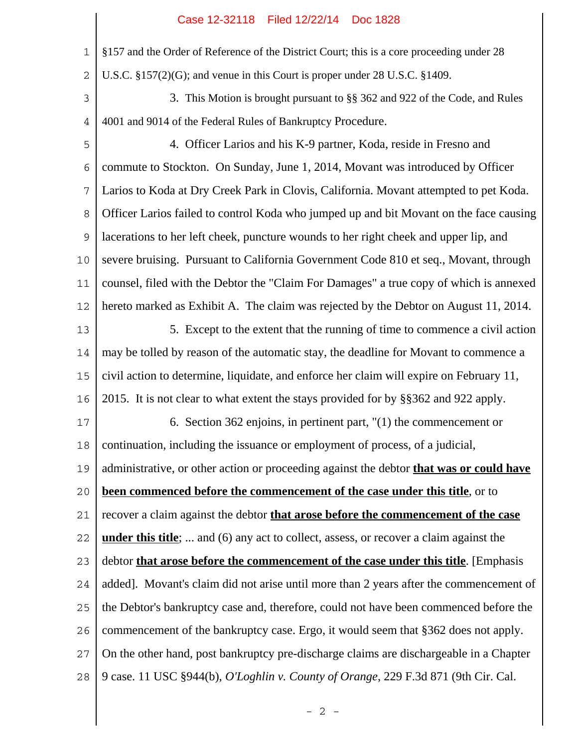## Case 12-32118 Filed 12/22/14 Doc 1828

1 2 3 4 5 6 7 8 9 10 11 12 13 14 15 16 17 18 19 20 21 22 23 24 25 26 27 28 §157 and the Order of Reference of the District Court; this is a core proceeding under 28 U.S.C. §157(2)(G); and venue in this Court is proper under 28 U.S.C. §1409. 3. This Motion is brought pursuant to §§ 362 and 922 of the Code, and Rules 4001 and 9014 of the Federal Rules of Bankruptcy Procedure. 4. Officer Larios and his K-9 partner, Koda, reside in Fresno and commute to Stockton. On Sunday, June 1, 2014, Movant was introduced by Officer Larios to Koda at Dry Creek Park in Clovis, California. Movant attempted to pet Koda. Officer Larios failed to control Koda who jumped up and bit Movant on the face causing lacerations to her left cheek, puncture wounds to her right cheek and upper lip, and severe bruising. Pursuant to California Government Code 810 et seq., Movant, through counsel, filed with the Debtor the "Claim For Damages" a true copy of which is annexed hereto marked as Exhibit A. The claim was rejected by the Debtor on August 11, 2014. 5. Except to the extent that the running of time to commence a civil action may be tolled by reason of the automatic stay, the deadline for Movant to commence a civil action to determine, liquidate, and enforce her claim will expire on February 11, 2015. It is not clear to what extent the stays provided for by §§362 and 922 apply. 6. Section 362 enjoins, in pertinent part, "(1) the commencement or continuation, including the issuance or employment of process, of a judicial, administrative, or other action or proceeding against the debtor **that was or could have been commenced before the commencement of the case under this title**, or to recover a claim against the debtor **that arose before the commencement of the case under this title**; ... and (6) any act to collect, assess, or recover a claim against the debtor **that arose before the commencement of the case under this title**. [Emphasis added]. Movant's claim did not arise until more than 2 years after the commencement of the Debtor's bankruptcy case and, therefore, could not have been commenced before the commencement of the bankruptcy case. Ergo, it would seem that §362 does not apply. On the other hand, post bankruptcy pre-discharge claims are dischargeable in a Chapter 9 case. 11 USC §944(b), *O'Loghlin v. County of Orange*, 229 F.3d 871 (9th Cir. Cal.

 $- 2 -$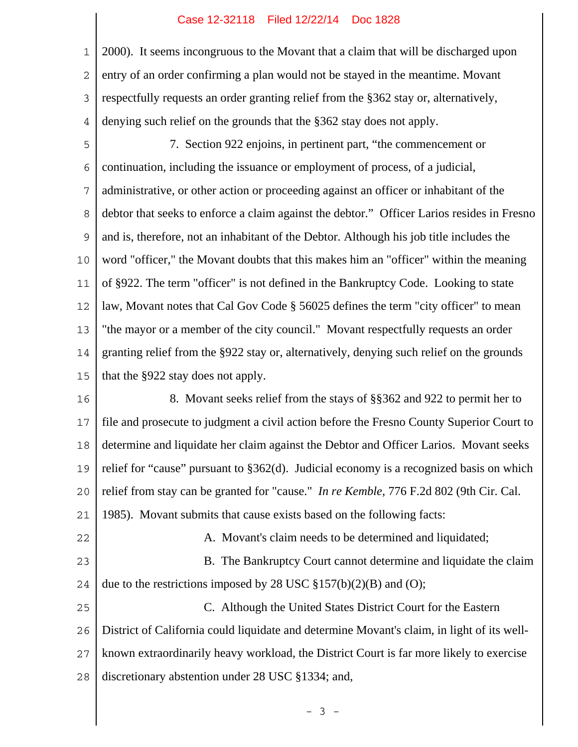## Case 12-32118 Filed 12/22/14 Doc 1828

1 2 3 4 2000). It seems incongruous to the Movant that a claim that will be discharged upon entry of an order confirming a plan would not be stayed in the meantime. Movant respectfully requests an order granting relief from the §362 stay or, alternatively, denying such relief on the grounds that the §362 stay does not apply.

5 6 7 8 9 10 11 12 13 14 15 7. Section 922 enjoins, in pertinent part, "the commencement or continuation, including the issuance or employment of process, of a judicial, administrative, or other action or proceeding against an officer or inhabitant of the debtor that seeks to enforce a claim against the debtor." Officer Larios resides in Fresno and is, therefore, not an inhabitant of the Debtor. Although his job title includes the word "officer," the Movant doubts that this makes him an "officer" within the meaning of §922. The term "officer" is not defined in the Bankruptcy Code. Looking to state law, Movant notes that Cal Gov Code § 56025 defines the term "city officer" to mean "the mayor or a member of the city council." Movant respectfully requests an order granting relief from the §922 stay or, alternatively, denying such relief on the grounds that the §922 stay does not apply.

16 17 18 19  $20$ 21 8. Movant seeks relief from the stays of §§362 and 922 to permit her to file and prosecute to judgment a civil action before the Fresno County Superior Court to determine and liquidate her claim against the Debtor and Officer Larios. Movant seeks relief for "cause" pursuant to §362(d). Judicial economy is a recognized basis on which relief from stay can be granted for "cause." *In re Kemble*, 776 F.2d 802 (9th Cir. Cal. 1985). Movant submits that cause exists based on the following facts:

22 23 24 25 26 27 A. Movant's claim needs to be determined and liquidated; B. The Bankruptcy Court cannot determine and liquidate the claim due to the restrictions imposed by 28 USC  $\S 157(b)(2)(B)$  and (O); C. Although the United States District Court for the Eastern District of California could liquidate and determine Movant's claim, in light of its wellknown extraordinarily heavy workload, the District Court is far more likely to exercise

28 discretionary abstention under 28 USC §1334; and,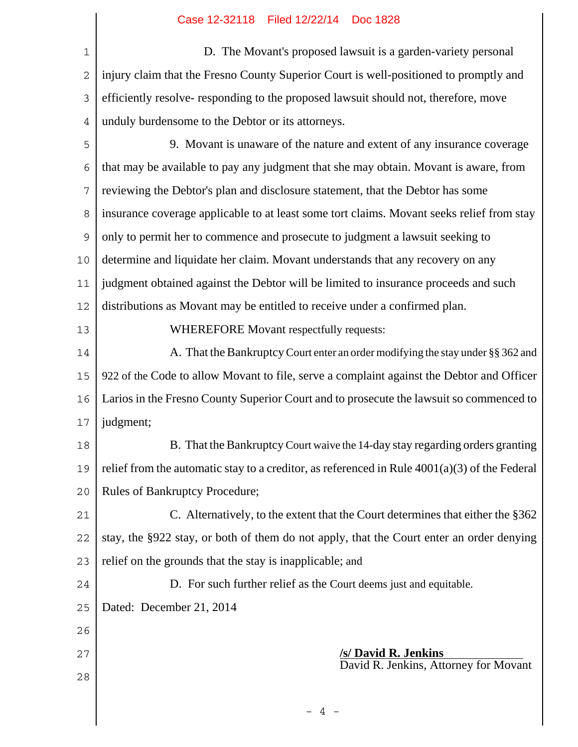| $\mathbf 1$    | D. The Movant's proposed lawsuit is a garden-variety personal                                   |  |  |  |  |  |  |
|----------------|-------------------------------------------------------------------------------------------------|--|--|--|--|--|--|
| $\overline{2}$ | injury claim that the Fresno County Superior Court is well-positioned to promptly and           |  |  |  |  |  |  |
| 3              | efficiently resolve-responding to the proposed lawsuit should not, therefore, move              |  |  |  |  |  |  |
| 4              | unduly burdensome to the Debtor or its attorneys.                                               |  |  |  |  |  |  |
| 5              | 9. Movant is unaware of the nature and extent of any insurance coverage                         |  |  |  |  |  |  |
| 6              | that may be available to pay any judgment that she may obtain. Movant is aware, from            |  |  |  |  |  |  |
| $\overline{7}$ | reviewing the Debtor's plan and disclosure statement, that the Debtor has some                  |  |  |  |  |  |  |
| 8              | insurance coverage applicable to at least some tort claims. Movant seeks relief from stay       |  |  |  |  |  |  |
| $\overline{9}$ | only to permit her to commence and prosecute to judgment a lawsuit seeking to                   |  |  |  |  |  |  |
| 10             | determine and liquidate her claim. Movant understands that any recovery on any                  |  |  |  |  |  |  |
| 11             | judgment obtained against the Debtor will be limited to insurance proceeds and such             |  |  |  |  |  |  |
| 12             | distributions as Movant may be entitled to receive under a confirmed plan.                      |  |  |  |  |  |  |
| 13             | WHEREFORE Movant respectfully requests:                                                         |  |  |  |  |  |  |
| 14             | A. That the Bankruptcy Court enter an order modifying the stay under §§ 362 and                 |  |  |  |  |  |  |
| 15             | 922 of the Code to allow Movant to file, serve a complaint against the Debtor and Officer       |  |  |  |  |  |  |
| 16             | Larios in the Fresno County Superior Court and to prosecute the lawsuit so commenced to         |  |  |  |  |  |  |
| 17             | judgment;                                                                                       |  |  |  |  |  |  |
| 18             | B. That the Bankruptcy Court waive the 14-day stay regarding orders granting                    |  |  |  |  |  |  |
| 19             | relief from the automatic stay to a creditor, as referenced in Rule $4001(a)(3)$ of the Federal |  |  |  |  |  |  |
| 20             | <b>Rules of Bankruptcy Procedure;</b>                                                           |  |  |  |  |  |  |
| 21             | C. Alternatively, to the extent that the Court determines that either the §362                  |  |  |  |  |  |  |
| 22             | stay, the §922 stay, or both of them do not apply, that the Court enter an order denying        |  |  |  |  |  |  |
| 23             | relief on the grounds that the stay is inapplicable; and                                        |  |  |  |  |  |  |
| 24             | D. For such further relief as the Court deems just and equitable.                               |  |  |  |  |  |  |
| 25             | Dated: December 21, 2014                                                                        |  |  |  |  |  |  |
| 26             |                                                                                                 |  |  |  |  |  |  |
| 27             | <b>/s/ David R. Jenkins</b>                                                                     |  |  |  |  |  |  |
| 28             | David R. Jenkins, Attorney for Movant                                                           |  |  |  |  |  |  |
|                |                                                                                                 |  |  |  |  |  |  |